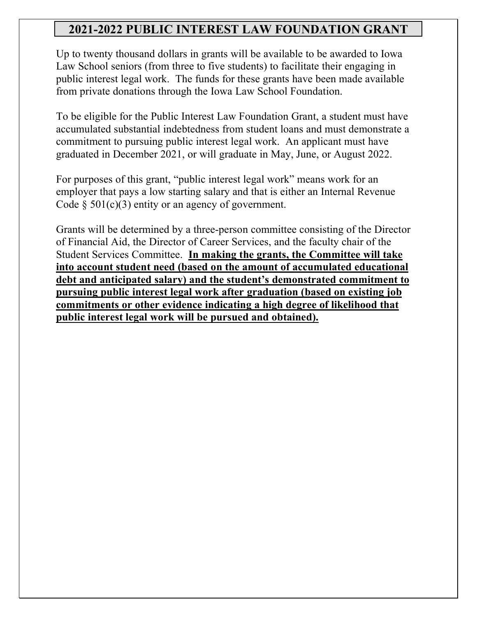# **2021-2022 PUBLIC INTEREST LAW FOUNDATION GRANT**

Up to twenty thousand dollars in grants will be available to be awarded to Iowa Law School seniors (from three to five students) to facilitate their engaging in public interest legal work. The funds for these grants have been made available from private donations through the Iowa Law School Foundation.

To be eligible for the Public Interest Law Foundation Grant, a student must have accumulated substantial indebtedness from student loans and must demonstrate a commitment to pursuing public interest legal work. An applicant must have graduated in December 2021, or will graduate in May, June, or August 2022.

For purposes of this grant, "public interest legal work" means work for an employer that pays a low starting salary and that is either an Internal Revenue Code  $\S$  501(c)(3) entity or an agency of government.

Grants will be determined by a three-person committee consisting of the Director of Financial Aid, the Director of Career Services, and the faculty chair of the Student Services Committee. **In making the grants, the Committee will take into account student need (based on the amount of accumulated educational debt and anticipated salary) and the student's demonstrated commitment to pursuing public interest legal work after graduation (based on existing job commitments or other evidence indicating a high degree of likelihood that public interest legal work will be pursued and obtained).**